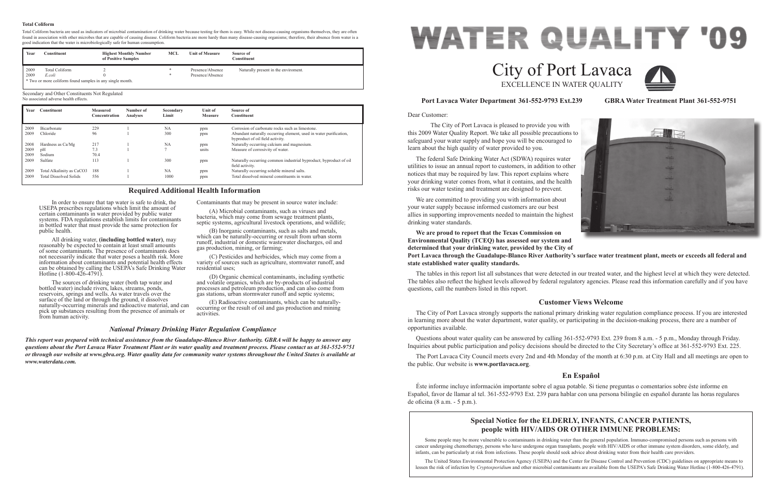Dear Customer:

 The City of Port Lavaca is pleased to provide you with this 2009 Water Quality Report. We take all possible precautions to safeguard your water supply and hope you will be encouraged to learn about the high quality of water provided to you. The federal Safe Drinking Water Act (SDWA) requires water utilities to issue an annual report to customers, in addition to other notices that may be required by law. This report explains where your drinking water comes from, what it contains, and the health risks our water testing and treatment are designed to prevent. We are committed to providing you with information about your water supply because informed customers are our best allies in supporting improvements needed to maintain the highest drinking water standards. **We are proud to report that the Texas Commission on** 

**Environmental Quality (TCEQ) has assessed our system and determined that your drinking water, provided by the City of Port Lavaca through the Guadalupe-Blanco River Authority's surface water treatment plant, meets or exceeds all federal and state established water quality standards.**

The tables in this report list all substances that were detected in our treated water, and the highest level at which they were detected. The tables also reflect the highest levels allowed by federal regulatory agencies. Please read this information carefully and if you have questions, call the numbers listed in this report.

# **Port Lavaca Water Department 361-552-9793 Ext.239 GBRA Water Treatment Plant 361-552-9751**

# **Customer Views Welcome**

The City of Port Lavaca strongly supports the national primary drinking water regulation compliance process. If you are interested in learning more about the water department, water quality, or participating in the decision-making process, there are a number of opportunities available.

(A) Microbial contaminants, such as viruses and bacteria, which may come from sewage treatment plants, septic systems, agricultural livestock operations, and wildlife;

> Questions about water quality can be answered by calling 361-552-9793 Ext. 239 from 8 a.m. - 5 p.m., Monday through Friday. Inquiries about public participation and policy decisions should be directed to the City Secretary's office at 361-552-9793 Ext. 225.

The Port Lavaca City Council meets every 2nd and 4th Monday of the month at 6:30 p.m. at City Hall and all meetings are open to the public. Our website is **www.portlavaca.org**.

# **En Español**

Éste informe incluye información importante sobre el agua potable. Si tiene preguntas o comentarios sobre éste informe en Español, favor de llamar al tel. 361-552-9793 Ext. 239 para hablar con una persona bilingüe en español durante las horas regulares de oficina (8 a.m. - 5 p.m.).

# **WATER QUALITY '09** City of Port Lavaca EXCELLENCE IN WATER QUALITY

In order to ensure that tap water is safe to drink, the USEPA prescribes regulations which limit the amount of certain contaminants in water provided by public water systems. FDA regulations establish limits for contaminants in bottled water that must provide the same protection for public health.

All drinking water, **(including bottled water)**, may reasonably be expected to contain at least small amounts of some contaminants. The presence of contaminants does not necessarily indicate that water poses a health risk. More information about contaminants and potential health effects can be obtained by calling the USEPA's Safe Drinking Water Hotline (1-800-426-4791).

The sources of drinking water (both tap water and bottled water) include rivers, lakes, streams, ponds, reservoirs, springs and wells. As water travels over the surface of the land or through the ground, it dissolves naturally-occurring minerals and radioactive material, and can pick up substances resulting from the presence of animals or from human activity.

Contaminants that may be present in source water include:

(B) Inorganic contaminants, such as salts and metals, which can be naturally-occurring or result from urban storm runoff, industrial or domestic wastewater discharges, oil and gas production, mining, or farming;

(C) Pesticides and herbicides, which may come from a variety of sources such as agriculture, stormwater runoff, and residential uses;

(D) Organic chemical contaminants, including synthetic and volatile organics, which are by-products of industrial processes and petroleum production, and can also come from gas stations, urban stormwater runoff and septic systems;

(E) Radioactive contaminants, which can be naturallyoccurring or the result of oil and gas production and mining activities.

# **Required Additional Health Information**

# *National Primary Drinking Water Regulation Compliance*

*This report was prepared with technical assistance from the Guadalupe-Blanco River Authority. GBRA will be happy to answer any questions about the Port Lavaca Water Treatment Plant or its water quality and treatment process. Please contact us at 361-552-9751 or through our website at www.gbra.org. Water quality data for community water systems throughout the United States is available at www.waterdata.com.*

# **Special Notice for the ELDERLY, INFANTS, CANCER PATIENTS, people with HIV/AIDS OR OTHER IMMUNE PROBLEMS:**

Some people may be more vulnerable to contaminants in drinking water than the general population. Immuno-compromised persons such as persons with cancer undergoing chemotherapy, persons who have undergone organ transplants, people with HIV/AIDS or other immune system disorders, some elderly, and infants, can be particularly at risk from infections. These people should seek advice about drinking water from their health care providers.

The United States Environmental Protection Agency (USEPA) and the Center for Disease Control and Prevention (CDC) guidelines on appropriate means to lessen the risk of infection by *Cryptosporidium* and other microbial contaminants are available from the USEPA's Safe Drinking Water Hotline (1-800-426-4791).





| Year | Constituent                   | <b>Measured</b><br>Concentration | Number of<br><b>Analyses</b> | Secondary<br>Limit | <b>Unit of</b><br><b>Measure</b> | Source of<br><b>Constituent</b>                                                                       |
|------|-------------------------------|----------------------------------|------------------------------|--------------------|----------------------------------|-------------------------------------------------------------------------------------------------------|
| 2009 | Bicarbonate                   | 229                              |                              | NA                 | ppm                              | Corrosion of carbonate rocks such as limestone.                                                       |
| 2009 | Chloride                      | 96                               |                              | 300                | ppm                              | Abundant naturally occurring element, used in water purification,<br>byproduct of oil field activity. |
| 2008 | Hardness as Ca/Mg             | 217                              |                              | <b>NA</b>          | ppm                              | Naturally occurring calcium and magnesium.                                                            |
| 2009 | pH                            | 7.3                              |                              |                    | units                            | Measure of corrosivity of water.                                                                      |
| 2009 | Sodium                        | 70.4                             |                              |                    |                                  |                                                                                                       |
| 2009 | Sulfate                       | 113                              |                              | 300                | ppm                              | Naturally occurring common industrial byproduct; byproduct of oil<br>field activity.                  |
| 2009 | Total Alkalinity as CaCO3     | 188                              |                              | <b>NA</b>          | ppm                              | Naturally occurring soluble mineral salts.                                                            |
| 2009 | <b>Total Dissolved Solids</b> | 556                              |                              | 1000               | ppm                              | Total dissolved mineral constituents in water.                                                        |

# Secondary and Other Constituents Not Regulated

No associated adverse health effects.

Total Coliform bacteria are used as indicators of microbial contamination of drinking water because testing for them is easy. While not disease-causing organisms themselves, they are often found in association with other microbes that are capable of causing disease. Coliform bacteria are more hardy than many disease-causing organisms; therefore, their absence from water is a good indication that the water is microbiologically safe for human consumption.

| Year | Constituent                                               | <b>Highest Monthly Number</b><br>of Positive Samples | MCL | <b>Unit of Measure</b> | Source of<br>Constituent             |  |  |  |  |  |
|------|-----------------------------------------------------------|------------------------------------------------------|-----|------------------------|--------------------------------------|--|--|--|--|--|
| 2009 | Total Coliform                                            |                                                      |     | Presence/Absence       | Naturally present in the enviroment. |  |  |  |  |  |
| 2009 | E.coli                                                    |                                                      |     | Presence/Absence       |                                      |  |  |  |  |  |
|      | * Two or more coliform found samples in any single month. |                                                      |     |                        |                                      |  |  |  |  |  |

## **Total Coliform**